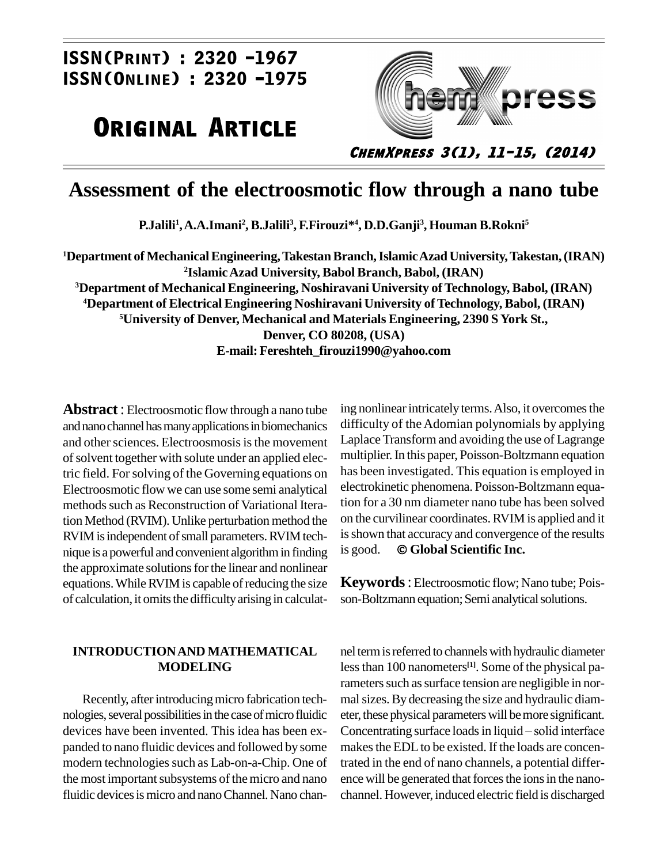## $\frac{1}{2320 - 1967}$  $\overline{)2320 -1967}$ <br> **:** 2320 -1975

## **ORIGINAL ARTICLE**



**ChemXpress 3(1), 11-15, (2014)**

### **Assessment of the electroosmotic flow through a nano tube**

**P.Jalili<sup>1</sup> ,A.A.Imani<sup>2</sup> , B.Jalili<sup>3</sup> , F.Firouzi\* 4 , D.D.Ganji<sup>3</sup> , Houman B.Rokni<sup>5</sup>**

**Department ofMechanicalEngineering,TakestanBranch,IslamicAzad University,Takestan,(IRAN) IslamicAzad University, Babol Branch, Babol, (IRAN) Department of Mechanical Engineering, Noshiravani University ofTechnology, Babol, (IRAN) Department of Electrical Engineering Noshiravani University ofTechnology, Babol, (IRAN) University of Denver, Mechanical and Materials Engineering, 2390 S York St., Denver, CO 80208, (USA) E-mail: [Fereshteh\\_firouzi1990@yahoo.com](mailto:Fereshteh_firouzi1990@yahoo.com)**

**Abstract**: Electroosmotic flow through a nano tube and nano channel has many applications in biomechanics and other sciences. Electroosmosis is the movement of solvent together with solute under an applied electric field. For solving of the Governing equations on Electroosmotic flow we can use some semi analytical methods such as Reconstruction of Variational Iteration Method (RVIM). Unlike perturbation method the RVIM is independent of small parameters. RVIM tech-<br>nique is a powerful and convenient algorithm in finding is good. nique is a powerful and convenient algorithmin finding the approximate solutions for the linear and nonlinear equations. While RVIM is capable of reducing the size of calculation, it omits the difficulty arising in calculat-

#### **INTRODUCTIONAND MATHEMATICAL MODELING**

Recently, after introducing micro fabrication technologies, several possibilities in the case of micro fluidic panded to nano fluidic devices and followed by some modern technologies such as Lab-on-a-Chip. One of the most important subsystems of the micro and nano fluidic devices is micro and nano Channel. Nano chaning nonlinear intricately terms. Also, it overcomes the difficulty of the Adomian polynomials by applying Laplace Transform and avoiding the use of Lagrange multiplier.In this paper, Poisson-Boltzmann equation has been investigated. This equation is employed in electrokinetic phenomena. Poisson-Boltzmann equation for a 30 nm diameter nano tube has been solved on the curvilinear coordinates.RVIM is applied and it is good. **Global Scientific Inc.** is shown that accuracy and convergence of the results

**Keywords**: Electroosmotic flow; Nano tube; Pois son-Boltzmann equation; Semi analytical solutions.

devices have been invented. This idea has been ex-<br>Concentrating surface loads in liquid – solid interface nel term is referred to channels with hydraulic diameter lessthan 100 nanometers **[1]**. Some of the physical parameters such as surface tension are negligible in normal sizes. By decreasing the size and hydraulic diameter, these physical parameters will be more significant. mal sizes. By decreasing the size and hydraulic diameter, these physical parameters will be more significant.<br>Concentrating surface loads in liquid – solid interface makes the EDL to be existed. If the loads are concentrated in the end of nano channels, a potential differ ence will be generated that forces the ions in the nanochannel. However, induced electric field is discharged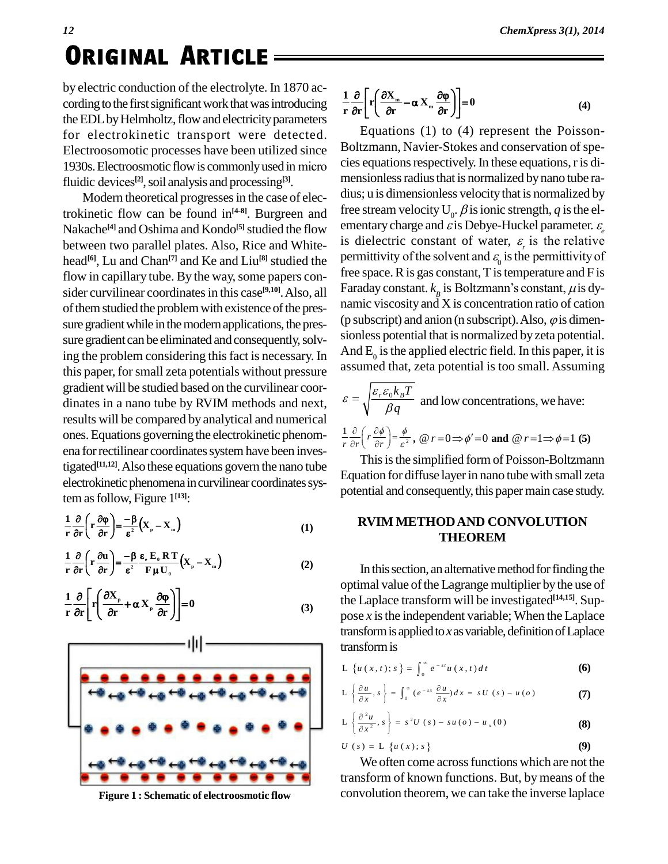# *<sup>12</sup>* **. Original ArticleORIGINAL ARTICLE**

by electric conduction of the electrolyte. In 1870 ac cording to the first significant work that was introducing the EDL by Helmholtz, flow and electricity parameters for electrokinetic transport were detected. Equation Equation Equation Equation Equation Equation Equation 1930s. Electroosmotic flow is commonly used in micro cies equation Electroosomotic processes have been utilized since Electroosomotic processes have been utilized since<br>1930s. Electroosmotic flow is commonly used in micro<br>fluidic devices<sup>[2]</sup>, soil analysis and processing<sup>[3]</sup>.

Modern theoretical progresses in the case of electrokinetic flow can be found in<sup>[4-8]</sup>. Burgreen and Iree str Nakache<sup>[4]</sup> and Oshima and Kondo<sup>[5]</sup> studied the flow ementary c between two parallel plates. Also, Rice and White head<sup>[6]</sup>, Lu and Chan<sup>[7]</sup> and Ke and Liu<sup>[8]</sup> studied the permi flow in capillary tube. By the way, some papers consider curvilinear coordinates in this case<sup>[9,10]</sup>. Also, all <sup>Fa</sup> of them studied the problem with existence of the pressure gradient while in the modern applications, the pressure gradient can be eliminated and consequently, solving the problem considering this fact is necessary. In this paper, forsmall zeta potentials without pressure gradient will be studied based on the curvilinear coor dinates in a nano tube by RVIM methods and next, results will be compared by analytical and numerical ones.Equations governing the electrokinetic phenom ena for rectilinear coordinates system have been investigated<sup>[11,12]</sup>. Also these equations govern the nano tube electrokinetic phenomena in curvilinear coordinates sys-

tem as follow, Figure 1<sup>[13]</sup>:  
\n
$$
\frac{1}{r} \frac{\partial}{\partial r} \left( r \frac{\partial \varphi}{\partial r} \right) = -\frac{\beta}{\epsilon^2} \left( X_p - X_m \right)
$$
\n(1)

$$
\frac{1}{r} \frac{\partial}{\partial r} \left( r \frac{\partial u}{\partial r} \right) = \frac{-\beta}{\epsilon^2} \frac{\epsilon_{\epsilon} E_0 R T}{F \mu U_0} (X_{\mu} - X_{\mu})
$$
\n(2)

$$
\frac{1}{r} \frac{\partial}{\partial r} \left[ r \left( \frac{\partial X_{\rm p}}{\partial r} + \alpha X_{\rm p} \frac{\partial \varphi}{\partial r} \right) \right] = 0 \tag{3}
$$



$$
\frac{1}{r} \frac{\partial}{\partial r} \left[ r \left( \frac{\partial X_{m}}{\partial r} - \alpha X_{m} \frac{\partial \varphi}{\partial r} \right) \right] = 0 \tag{4}
$$

Equations (1) to (4) represent the Poisson- Boltzmann, Navier-Stokes and conservation of species equations respectively. In these equations, r is dimensionless radius that is normalized by nano tube radius; u is dimensionless velocitythat is normalized by free stream velocity  $U_0$ .  $\beta$  is ionic strength,  $q$  is the elementary charge and  $\varepsilon$  is Debye-Huckel parameter.  $\varepsilon$ free stream velocity  $U_0$ .  $\beta$  is ionic strength,  $q$  is the elementary charge and  $\varepsilon$  is Debye-Huckel parameter.  $\varepsilon$  is dielectric constant of water,  $\varepsilon$ <sub>r</sub> is the relative ementary charge and  $\vec{\varepsilon}$  is Debye-Huckel parameter.  $\varepsilon_{\varepsilon}$  is dielectric constant of water,  $\varepsilon_{\varepsilon}$  is the relative permittivity of the solvent and  $\varepsilon_{0}$  is the permittivity of  $_{0}^{\mathrm{o}}$  to the free space.  $R$  is gas constant,  $T$  is temperature and  $F$  is Faraday constant.  $k<sub>n</sub>$  is Boltzmann's constant,  $\mu$  is dyis Boltzmann is the permittivity of<br>ponstant, T is temperature and F is<br>is Boltzmann's constant,  $\mu$  is dynamic viscosity and X is concentration ratio of cation (p subscript) and anion (n subscript). Also,  $\varphi$  is dimensionless potential that is normalized byzeta potential. And  $E_0$  is the applied electric field. In this paper, it is assumed that, zeta potential is too small. Assuming

$$
\varepsilon = \sqrt{\frac{\varepsilon_r \varepsilon_0 k_B T}{\beta q}}
$$
 and low concentrations, we have:  

$$
\frac{1}{r} \frac{\partial}{\partial r} \left( r \frac{\partial \phi}{\partial r} \right) = \frac{\phi}{\varepsilon^2}, \quad \omega r = 0 \Rightarrow \phi' = 0 \text{ and } \quad \omega r = 1 \Rightarrow \phi = 1 \text{ (5)}
$$

This is the simplified form of Poisson-Boltzmann Equation for diffuse layerin nano tubewith small zeta potential and consequently, this paper main case study.

#### **RVIM METHODAND CONVOLUTION THEOREM**

In this section, an alternative method for finding the optimal value of the Lagrange multiplier by the use of the Laplace transform will be investigated **[14,15]**. Sup pose  $x$  is the independent variable; When the Laplace transform is applied to *x* as variable, definition of Laplace<br>transform is<br>L  $\{u(x,t): s\} = \int_0^\infty e^{-st} u(x,t) dt$  (6) transformis  $\int_{-\infty}^{\infty}$  - st (

| L { $u(x, t); s$ } = $\int_0^\infty e^{-st} u(x, t) dt$ | (6) |
|---------------------------------------------------------|-----|
| L { $u(x, t); s$ } = $\int_0^\infty e^{-st} u(x, t) dt$ | (6) |

$$
L\left\{\frac{\partial u}{\partial x}, s\right\} = \int_0^\infty (e^{-sx}\frac{\partial u}{\partial x})dx = sU(s) - u(o)
$$
 (7)

$$
L\left\{\frac{\partial^2 u}{\partial x}, s\right\} = \int_0^a (e^{-x} \frac{\partial^2 u}{\partial x}) dx = sU(s) - u(o)
$$
\n
$$
L\left\{\frac{\partial^2 u}{\partial x^2}, s\right\} = s^2U(s) - su(o) - u_x(0)
$$
\n(8)\n
$$
U(s) = L\left\{u(x); s\right\}
$$
\n(9)

$$
U(s) = \mathcal{L}\left\{u(x); s\right\} \tag{9}
$$

We often come across functions which are not the transform of known functions. But, by means of the **Figure 1 : Schematic of electroosmotic flow** convolution theorem, we can take the inverse laplace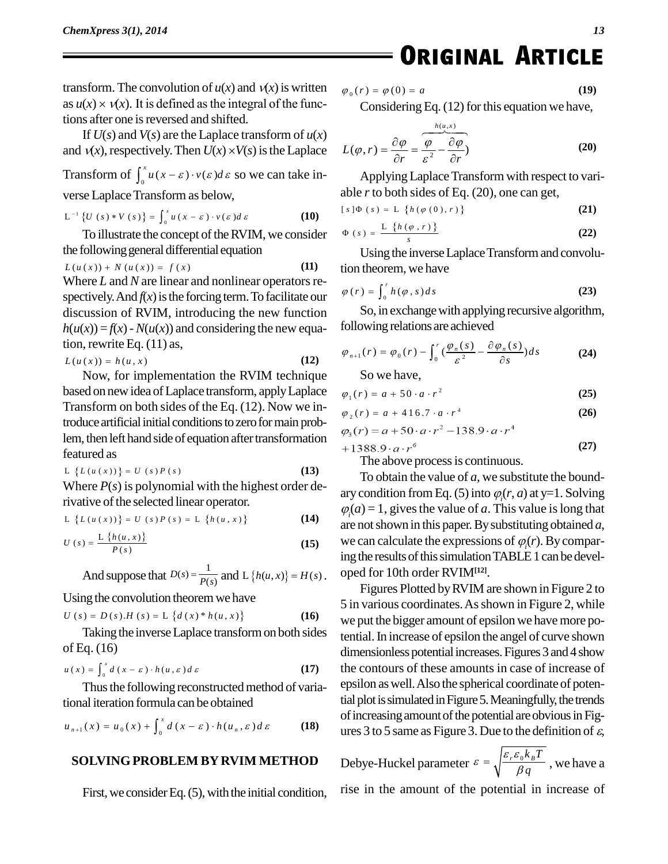transform. The convolution of  $u(x)$  and  $v(x)$  is written  $\varphi_0(r)$ . transform. The convolution of  $u(x)$  and  $v(x)$  is written as  $u(x) \times v(x)$ . It is defined as the integral of the functions after one is reversed and shifted.

If  $U(s)$  and  $V(s)$  are the Laplace transform of  $u(x)$ and  $v(x)$ , respectively. Then  $U(x) \times V(s)$  is the Laplace

and  $v(x)$ , respectively. Then  $U(x) \times V(s)$  is the Laplace  $L(q)$ <br>Transform of  $\int_0^x u(x - \varepsilon) \cdot v(\varepsilon) d\varepsilon$  so we can take inverse Laplace Transform as below,<br>  $L^{-1} \{U(s) * V(s)\} = \int^x u(x - \varepsilon) \cdot v(\varepsilon) d\varepsilon$ erse Laplace Transform as below<br>  $e^{-x}$   $\{U(s)*V(s)\} = \int_0^x u(x - \epsilon) \cdot v(\epsilon)$ 

$$
L^{-1}\left\{U\left(s\right)*V\left(s\right)\right\}=\int_{0}^{x}u\left(x-\varepsilon\right)\cdot v\left(\varepsilon\right)d\varepsilon
$$
 (10)

To illustrate the concept of the RVIM, we consider the following general differential equation<br>  $L(u(x)) + N(u(x)) = f(x)$  (11)

$$
L(u(x)) + N(u(x)) = f(x)
$$
 (11)

Where *L* and *N* are linear and nonlinear operators respectively. And  $f(x)$  is the forcing term. To facilitate our discussion of RVIM, introducing the new function  $h(u(x)) = f(x) - N(u(x))$  and considering the new equation, rewrite Eq. (11) as,<br>*L*(*u*(*x*)) = *h*(*u*,*x*) (12)<sup>9</sup>

$$
L(u(x)) = h(u, x) \tag{12}
$$

Now, for implementation the RVIM technique based on newidea ofLaplace transform, applyLaplace Transform on both sides of the Eq. (12). Now we introduce artificial initial conditions to zero for main problem, then left hand side of equation after transformation  $+1388$ <br>featured as  $L \{L(u(x))\} = U(s) P(s)$  (13) featured as

$$
L\left\{L\left(u\left(x\right)\right)\right\}=U\left(s\right)P\left(s\right)\tag{13}
$$

Where *P*(*s*) is polynomial with the highest order de-<br>rivative of the selected linear operator.<br>L { $L(u(x))$ } =  $U(s)P(s) = L$  { $h(u, x)$ } (14) rivative of the selected linear operator.<br>
L { $L(u(x))$ } =  $U(s) P(s) = L \{h(u, x)\}$ <br>  $L \{h(u, x)\}$ 

$$
L \{L(u(x))\} = U(s)P(s) = L \{h(u,x)\}
$$
 (14)

$$
L \{L(u(x))\} = U(s)P(s) = L \{h(u, x)\}
$$
\n
$$
U(s) = \frac{L \{h(u, x)\}}{P(s)}
$$
\n(15)

$$
\text{And suppose that } D(s) = \frac{1}{P(s)} \text{ and } L \{h(u, x)\} = H(s). \quad \text{or}
$$
\n
$$
[15] \quad \text{in}
$$

Using the convolution theoremwe have

Using the convolution theorem we have  
\n
$$
U(s) = D(s) \cdot H(s) = L \{d(x)^* h(u, x)\}
$$
 (16)

Taking the inverse Laplace transform on both sides tential of Eq. (16)<br>  $u(x) = \int_{0}^{x} d(x - \varepsilon) \cdot h(u, \varepsilon) d\varepsilon$ 

$$
u(x) = \int_0^x d(x - \varepsilon) \cdot h(u, \varepsilon) d\varepsilon \tag{17}
$$

Thus the following reconstructed method of varia-<br> *i*onal iteration formula can be obtained<br> *u*<sub>*n*+1</sub>(*x*) =  $u_0(x) + \int_0^x d(x - \varepsilon) \cdot h(u_n, \varepsilon) d\varepsilon$  (18) tional iteration formula can be obtained

$$
u_{n+1}(x) = u_0(x) + \int_0^x d(x - \varepsilon) \cdot h(u_n, \varepsilon) d\varepsilon
$$
 (18)

#### **SOLVINGPROBLEM BYRVIM METHOD**

First, we consider Eq.  $(5)$ , with the initial condition,

EXAMPLE

\n
$$
\varphi_0(r) = \varphi(0) = a \tag{19}
$$

Considering Eq. (12) for this equation we have,  

$$
L(\varphi, r) = \frac{\partial \varphi}{\partial r} = \frac{\varphi}{\varepsilon^2} - \frac{\partial \varphi}{\partial r}
$$
(20)

Applying Laplace Transform with respect to vari-<br>able *r* to both sides of Eq. (20), one can get,<br> $[s] \Phi(s) = L \{h(\varphi(0), r)\}$  (21)

able *r* to both sides of Eq. (20), one can get,  
\n
$$
[s] \Phi (s) = L \{h(\varphi(0), r)\}
$$
\n(21)

$$
\Phi(s) = \frac{L \{h(\varphi(0), r)\}}{s}
$$
\n
$$
\Phi(s) = \frac{L \{h(\varphi, r)\}}{s}
$$
\n(22)

Using the inverse Laplace Transform and convolution theorem,we have Using the inverse Lapl<br>tion theorem, we have<br> $\varphi(r) = \int_{s}^{r} h(\varphi, s) ds$ 

$$
\varphi(r) = \int_0^r h(\varphi, s) ds \tag{23}
$$

So,in exchangewith applying recursive algorithm, following relations are achieved<br>  $\varphi_{n+1}(r) = \varphi_0(r) - \int_{0}^{r} \left(\frac{\varphi_n(s)}{2} - \frac{\partial \varphi_n(s)}{\partial s}\right) ds$ 

$$
\varphi_{n+1}(r) = \varphi_0(r) - \int_0^r \left(\frac{\varphi_n(s)}{\varepsilon^2} - \frac{\partial \varphi_n(s)}{\partial s}\right) ds \tag{24}
$$

So we have,

So we have,  
\n
$$
\varphi_1(r) = a + 50 \cdot a \cdot r^2
$$
 (25)  
\n $\varphi_2(r) = a + 416.7 \cdot a \cdot r^4$  (26)

$$
\varphi_2(r) = a + 416.7 \cdot a \cdot r^4 \tag{26}
$$

$$
\varphi_3(r) = a + 50 \cdot a \cdot r^2 - 138.9 \cdot a \cdot r^4
$$

$$
388.9 \cdot a \cdot r^6 \tag{27}
$$

The above process is continuous.

To obtain the value of *a*, we substitute the bound ary condition from Eq. (5) into  $\varphi(r, a)$  at y=1. Solving  $\varphi$ (*a*) = 1, gives the value of *a*. This value is long that are notshown in this paper.Bysubstituting obtained *a*, we can calculate the expressions of  $\varphi(r)$ . By comparing the results of this simulation TABLE 1 can be developed for 10th order RVIM**[12]**.

**(17)** the contours of these amounts in case of increase of Figures Plotted byRVIM are shown in Figure 2 to 5 in various coordinates.Asshown in Figure 2, while we put the bigger amount of epsilon we have more potential.In increase of epsilon the angel of curve shown dimensionless potential increases. Figures 3 and 4 show epsilon aswell.Also the spherical coordinate of potential plot is simulated in Figure 5. Meaningfully, the trends of increasing amount of the potential are obvious in Figures 3 to 5 same as Figure 3. Due to the definition of  $\varepsilon$ ,

> Debye-Huckel parameter  $\varepsilon = \sqrt{\frac{\varepsilon_r \varepsilon_0 k_B T}{\beta_a}}$ , we have *q*  $\varepsilon = \sqrt{\frac{\varepsilon_{r} \varepsilon_{0} \kappa_{B} T}{\beta q}}$ , we have a rise in the amount of the potential in increase of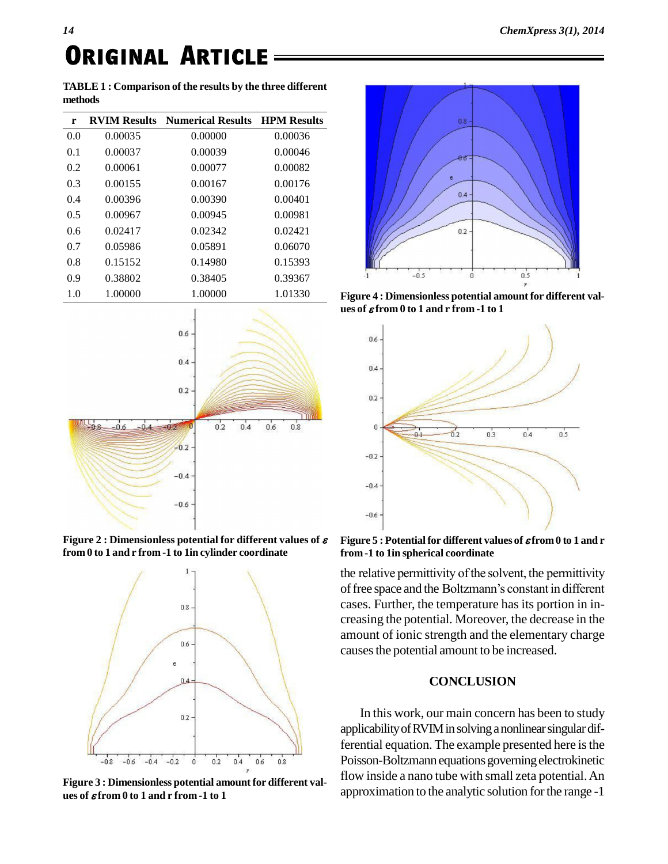# *<sup>14</sup>* **. Original ArticleORIGINAL ARTICLE**

**TABLE 1 : Comparison of the results by the three different methods**

| r   |         | <b>RVIM Results</b> Numerical Results <b>HPM</b> Results |         |
|-----|---------|----------------------------------------------------------|---------|
| 0.0 | 0.00035 | 0.00000                                                  | 0.00036 |
| 0.1 | 0.00037 | 0.00039                                                  | 0.00046 |
| 0.2 | 0.00061 | 0.00077                                                  | 0.00082 |
| 0.3 | 0.00155 | 0.00167                                                  | 0.00176 |
| 0.4 | 0.00396 | 0.00390                                                  | 0.00401 |
| 0.5 | 0.00967 | 0.00945                                                  | 0.00981 |
| 0.6 | 0.02417 | 0.02342                                                  | 0.02421 |
| 0.7 | 0.05986 | 0.05891                                                  | 0.06070 |
| 0.8 | 0.15152 | 0.14980                                                  | 0.15393 |
| 0.9 | 0.38802 | 0.38405                                                  | 0.39367 |
| 1.0 | 1.00000 | 1.00000                                                  | 1.01330 |



**Figure 2 : Dimensionless potential for different values of from 0 to 1 and r from -1 to 1in cylinder coordinate**



**Figure 3 : Dimensionless potential amount for different val ues of from 0 to 1 and r from -1 to 1**



**Figure 4 : Dimensionless potential amount for different val ues of from 0 to 1 and r from -1 to 1**



**Figure 5 : Potentialfor different values of from0 to 1 and r from -1 to 1in spherical coordinate**

the relative permittivity of the solvent, the permittivity of free space and the Boltzmann's constant in different cases. Further, the temperature has its portion in in creasing the potential. Moreover, the decrease in the amount of ionic strength and the elementary charge causes the potential amount to be increased.

#### **CONCLUSION**

In this work, our main concern has been to study applicability of RVIM in solving a nonlinear singular differential equation. The example presented here is the Poisson-Boltzmann equations governing electrokinetic flow inside a nano tube with small zeta potential.An approximation to the analytic solution forthe range -1